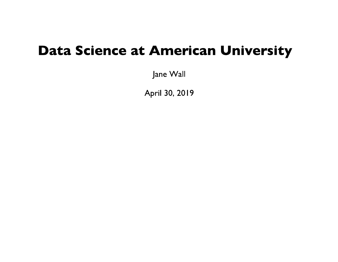### **Data Science at American University**

Jane Wall

April 30, 2019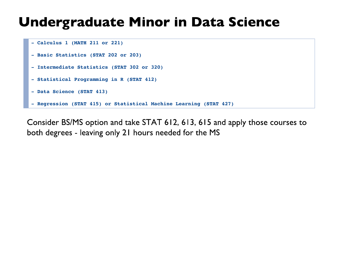### **Undergraduate Minor in Data Science**

```
- Calculus 1 (MATH 211 or 221)
```
- **Basic Statistics (STAT 202 or 203)**
- **Intermediate Statistics (STAT 302 or 320)**
- **Statistical Programming in R (STAT 412)**
- **Data Science (STAT 413)**
- **Regression (STAT 415) or Statistical Machine Learning (STAT 427)**

Consider BS/MS option and take STAT 612, 613, 615 and apply those courses to both degrees - leaving only 21 hours needed for the MS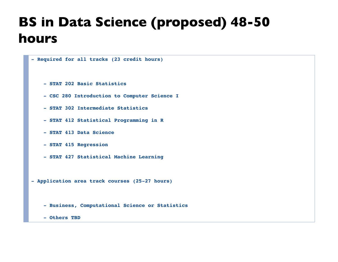# **BS in Data Science (proposed) 48-50** hours

```
- Required for all tracks (23 credit hours)
     - STAT 202 Basic Statistics 
     - CSC 280 Introduction to Computer Science I 
     - STAT 302 Intermediate Statistics 
     - STAT 412 Statistical Programming in R 
     - STAT 413 Data Science 
     - STAT 415 Regression 
     - STAT 427 Statistical Machine Learning 
- Application area track courses (25-27 hours)
     - Business, Computational Science or Statistics
     - Others TBD
```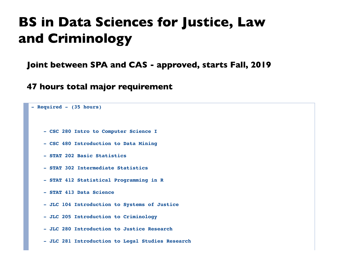## **BS in Data Sciences for Justice, Law** and Criminology

Joint between SPA and CAS - approved, starts Fall, 2019

47 hours total major requirement

```
- Required - (35 hours)
     - CSC 280 Intro to Computer Science I
     - CSC 480 Introduction to Data Mining
     - STAT 202 Basic Statistics
     - STAT 302 Intermediate Statistics
     - STAT 412 Statistical Programming in R
     - STAT 413 Data Science
     - JLC 104 Introduction to Systems of Justice
     - JLC 205 Introduction to Criminology
     - JLC 280 Introduction to Justice Research
     - JLC 281 Introduction to Legal Studies Research
```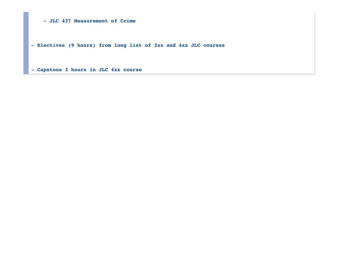**- JLC 437 Measurement of Crime**

**- Electives (9 hours) from long list of 3xx and 4xx JLC courses**

**- Capstone 3 hours in JLC 4xx course**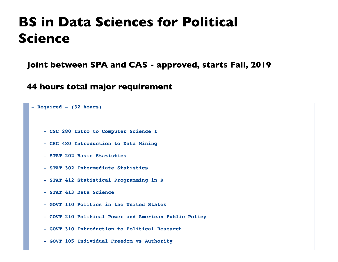### **BS in Data Sciences for Political Science**

Joint between SPA and CAS - approved, starts Fall, 2019

44 hours total major requirement

```
- Required - (32 hours)
     - CSC 280 Intro to Computer Science I
     - CSC 480 Introduction to Data Mining
     - STAT 202 Basic Statistics
     - STAT 302 Intermediate Statistics
     - STAT 412 Statistical Programming in R
     - STAT 413 Data Science
     - GOVT 110 Politics in the United States
     - GOVT 210 Political Power and American Public Policy
     - GOVT 310 Introduction to Political Research
     - GOVT 105 Individual Freedom vs Authority
```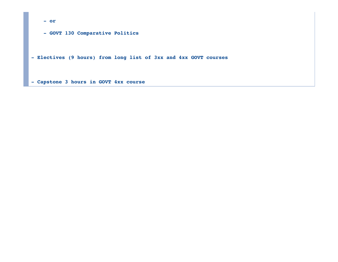**- or**

 **- GOVT 130 Comparative Politics**

**- Electives (9 hours) from long list of 3xx and 4xx GOVT courses**

**- Capstone 3 hours in GOVT 4xx course**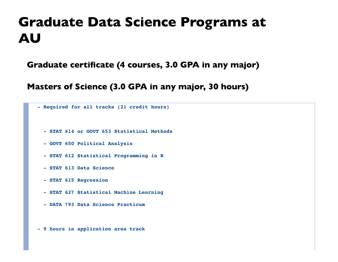### **Graduate Data Science Programs at AU**

Graduate certificate (4 courses, 3.0 GPA in any major)

Masters of Science (3.0 GPA in any major, 30 hours)